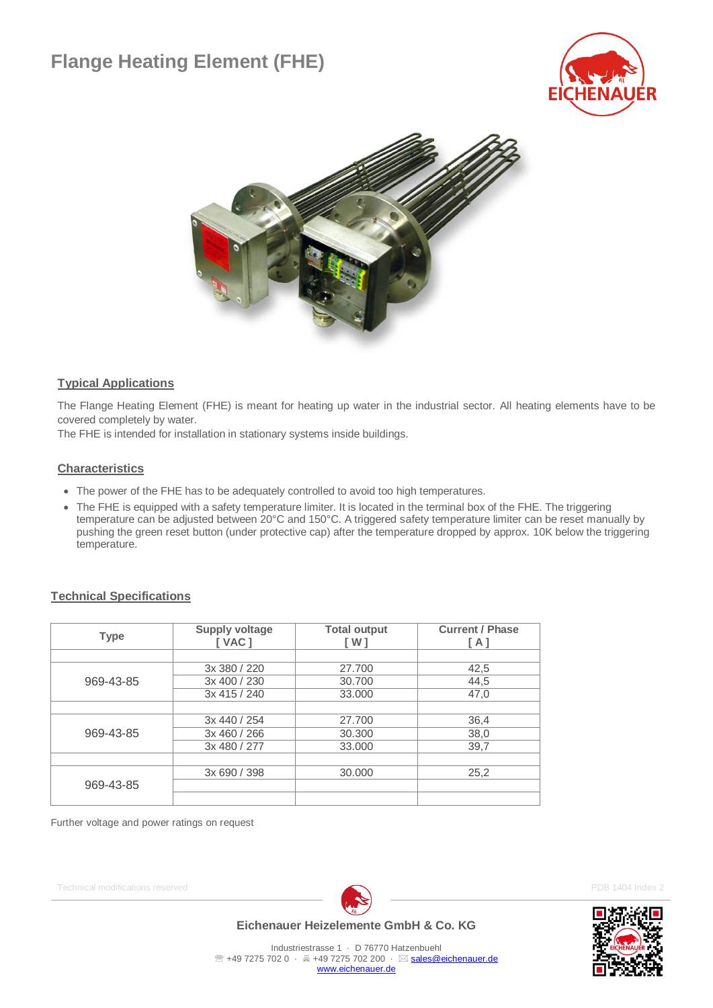# **Flange Heating Element (FHE)**





### **Typical Applications**

The Flange Heating Element (FHE) is meant for heating up water in the industrial sector. All heating elements have to be covered completely by water.

The FHE is intended for installation in stationary systems inside buildings.

#### **Characteristics**

- The power of the FHE has to be adequately controlled to avoid too high temperatures.
- The FHE is equipped with a safety temperature limiter. It is located in the terminal box of the FHE. The triggering temperature can be adjusted between 20°C and 150°C. A triggered safety temperature limiter can be reset manually by pushing the green reset button (under protective cap) after the temperature dropped by approx. 10K below the triggering temperature.

#### **Technical Specifications**

| <b>Type</b> | <b>Supply voltage</b><br><b>I VAC 1</b> | <b>Total output</b><br>[W] | <b>Current / Phase</b><br>[ A ] |
|-------------|-----------------------------------------|----------------------------|---------------------------------|
|             |                                         |                            |                                 |
|             | 3x 380 / 220                            | 27.700                     | 42,5                            |
| 969-43-85   | 3x 400 / 230                            | 30,700                     | 44,5                            |
|             | 3x 415 / 240                            | 33,000                     | 47,0                            |
|             |                                         |                            |                                 |
|             | 3x 440 / 254                            | 27.700                     | 36,4                            |
| 969-43-85   | 3x 460 / 266                            | 30,300                     | 38,0                            |
|             | 3x 480 / 277                            | 33,000                     | 39,7                            |
|             |                                         |                            |                                 |
|             | 3x 690 / 398                            | 30,000                     | 25,2                            |
| 969-43-85   |                                         |                            |                                 |
|             |                                         |                            |                                 |

Further voltage and power ratings on request

Technical modifications reserved **PDB 1404 Index 2 PDB 1404 Index 2** 



### **Eichenauer Heizelemente GmbH & Co. KG**

Industriestrasse 1 · D 76770 Hatzenbuehl <sup>2</sup> +49 7275 702 0 · 昌 +49 7275 702 200 · ⊠ [sales@eichenauer.de](mailto:sales@eichenauer.de)

[www.eichenauer.de](http://www.eichenauer.de/)